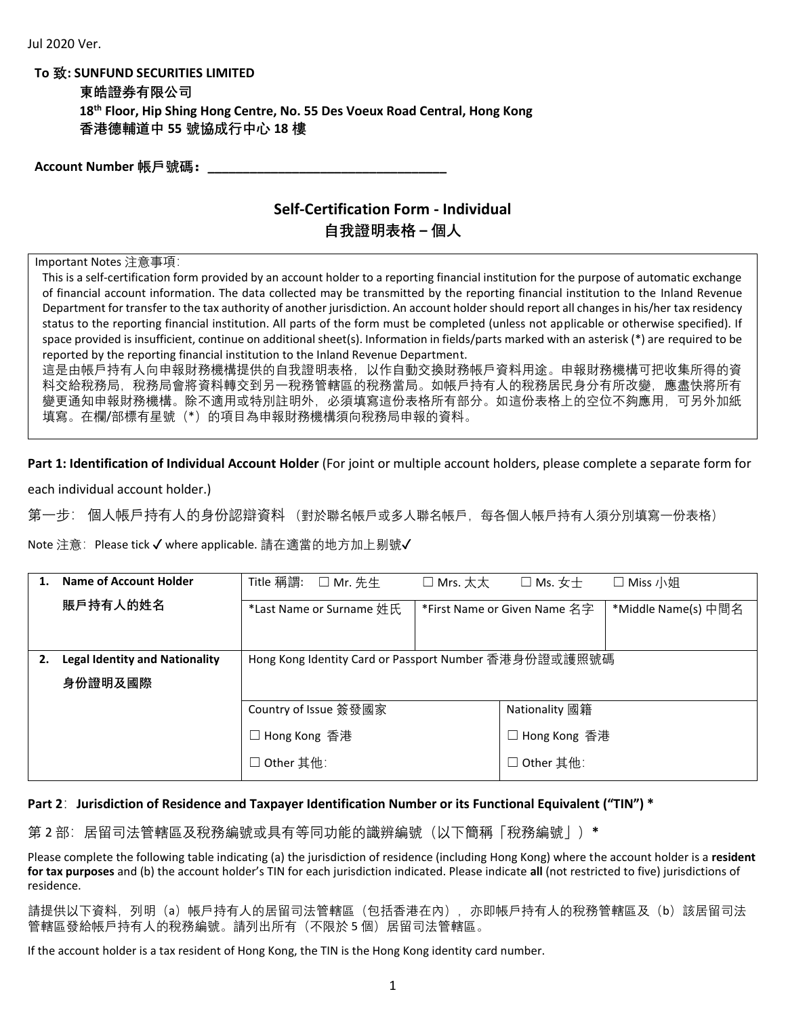**To 致: SUNFUND SECURITIES LIMITED**

| 東皓證券有限公司                                                                                |
|-----------------------------------------------------------------------------------------|
| 18 <sup>th</sup> Floor, Hip Shing Hong Centre, No. 55 Des Voeux Road Central, Hong Kong |
| 香港德輔道中 55 號協成行中心 18 樓                                                                   |

**Account Number 帳戶號碼:\_\_\_\_\_\_\_\_\_\_\_\_\_\_\_\_\_\_\_\_\_\_\_\_\_\_\_\_\_\_\_\_\_\_**

## **Self-Certification Form - Individual**

## **自我證明表格 – 個人**

Important Notes 注意事項:

This is a self-certification form provided by an account holder to a reporting financial institution for the purpose of automatic exchange of financial account information. The data collected may be transmitted by the reporting financial institution to the Inland Revenue Department for transfer to the tax authority of another jurisdiction. An account holder should report all changes in his/her tax residency status to the reporting financial institution. All parts of the form must be completed (unless not applicable or otherwise specified). If space provided is insufficient, continue on additional sheet(s). Information in fields/parts marked with an asterisk (\*) are required to be reported by the reporting financial institution to the Inland Revenue Department.

這是由帳戶持有人向申報財務機構提供的自我證明表格,以作自動交換財務帳戶資料用途。申報財務機構可把收集所得的資 料交給稅務局,稅務局會將資料轉交到另一稅務管轄區的稅務當局。如帳戶持有人的稅務居民身分有所改變,應盡快將所有 變更通知申報財務機構。除不適用或特別註明外,必須填寫這份表格所有部分。如這份表格上的空位不夠應用,可另外加紙 填寫。在欄/部標有星號(\*)的項目為申報財務機構須向稅務局申報的資料。

**Part 1: Identification of Individual Account Holder** (For joint or multiple account holders, please complete a separate form for

each individual account holder.)

第一步: 個人帳戶持有人的身份認辯資料 (對於聯名帳戶或多人聯名帳戶,每各個人帳戶持有人須分別填寫一份表格)

Note 注意: Please tick √ where applicable. 請在適當的地方加上剔號√

| Name of Account Holder                | Title 稱謂:<br>$\square$ Mr. 先生                         | $\square$ Mrs. 太太 | $\square$ Ms. $\pm \pm$      | □ Miss 小姐           |
|---------------------------------------|-------------------------------------------------------|-------------------|------------------------------|---------------------|
| 賬戶持有人的姓名                              | *Last Name or Surname 姓氏                              |                   | *First Name or Given Name 名字 | *Middle Name(s) 中間名 |
|                                       |                                                       |                   |                              |                     |
| <b>Legal Identity and Nationality</b> | Hong Kong Identity Card or Passport Number 香港身份證或護照號碼 |                   |                              |                     |
| 身份證明及國際                               |                                                       |                   |                              |                     |
|                                       | Country of Issue 簽發國家                                 |                   | Nationality 國籍               |                     |
|                                       | □ Hong Kong 香港                                        |                   | ] Hong Kong 香港               |                     |
|                                       | □ Other 其他:                                           |                   | □ Other 其他:                  |                     |

## **Part 2**:**Jurisdiction of Residence and Taxpayer Identification Number or its Functional Equivalent ("TIN") \***

第 2 部:居留司法管轄區及稅務編號或具有等同功能的識辨編號(以下簡稱「稅務編號」)**\*** 

Please complete the following table indicating (a) the jurisdiction of residence (including Hong Kong) where the account holder is a **resident for tax purposes** and (b) the account holder's TIN for each jurisdiction indicated. Please indicate **all** (not restricted to five) jurisdictions of residence.

請提供以下資料,列明(a)帳戶持有人的居留司法管轄區(包括香港在內),亦即帳戶持有人的稅務管轄區及(b)該居留司法 管轄區發給帳戶持有人的稅務編號。請列出所有(不限於 5 個)居留司法管轄區。

If the account holder is a tax resident of Hong Kong, the TIN is the Hong Kong identity card number.